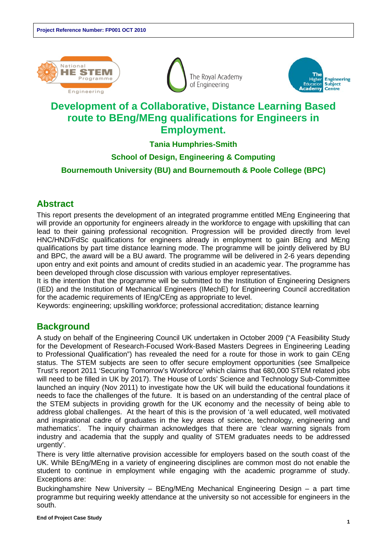





# **Development of a Collaborative, Distance Learning Based route to BEng/MEng qualifications for Engineers in Employment.**

#### **Tania Humphries-Smith**

#### **School of Design, Engineering & Computing Bournemouth University (BU) and Bournemouth & Poole College (BPC)**

# **Abstract**

This report presents the development of an integrated programme entitled MEng Engineering that will provide an opportunity for engineers already in the workforce to engage with upskilling that can lead to their gaining professional recognition. Progression will be provided directly from level HNC/HND/FdSc qualifications for engineers already in employment to gain BEng and MEng qualifications by part time distance learning mode. The programme will be jointly delivered by BU and BPC, the award will be a BU award. The programme will be delivered in 2-6 years depending upon entry and exit points and amount of credits studied in an academic year. The programme has been developed through close discussion with various employer representatives.

It is the intention that the programme will be submitted to the Institution of Engineering Designers (IED) and the Institution of Mechanical Engineers (IMechE) for Engineering Council accreditation for the academic requirements of IEng/CEng as appropriate to level.

Keywords: engineering; upskilling workforce; professional accreditation; distance learning

## **Background**

A study on behalf of the Engineering Council UK undertaken in October 2009 ("A Feasibility Study for the Development of Research-Focused Work-Based Masters Degrees in Engineering Leading to Professional Qualification") has revealed the need for a route for those in work to gain CEng status. The STEM subjects are seen to offer secure employment opportunities (see Smallpeice Trust's report 2011 'Securing Tomorrow's Workforce' which claims that 680,000 STEM related jobs will need to be filled in UK by 2017). The House of Lords' Science and Technology Sub-Committee launched an inquiry (Nov 2011) to investigate how the UK will build the educational foundations it needs to face the challenges of the future. It is based on an understanding of the central place of the STEM subjects in providing growth for the UK economy and the necessity of being able to address global challenges. At the heart of this is the provision of 'a well educated, well motivated and inspirational cadre of graduates in the key areas of science, technology, engineering and mathematics'. The inquiry chairman acknowledges that there are 'clear warning signals from industry and academia that the supply and quality of STEM graduates needs to be addressed urgently'.

There is very little alternative provision accessible for employers based on the south coast of the UK. While BEng/MEng in a variety of engineering disciplines are common most do not enable the student to continue in employment while engaging with the academic programme of study. Exceptions are:

Buckinghamshire New University – BEng/MEng Mechanical Engineering Design – a part time programme but requiring weekly attendance at the university so not accessible for engineers in the south.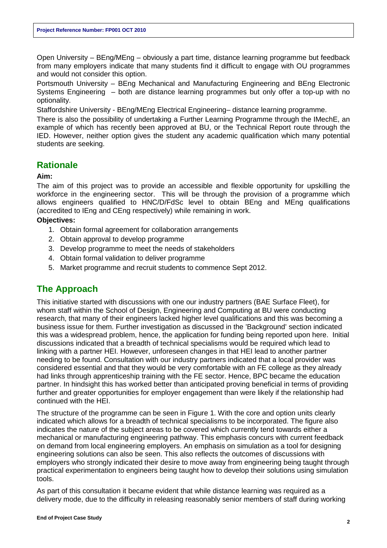Open University – BEng/MEng – obviously a part time, distance learning programme but feedback from many employers indicate that many students find it difficult to engage with OU programmes and would not consider this option.

Portsmouth University – BEng Mechanical and Manufacturing Engineering and BEng Electronic Systems Engineering – both are distance learning programmes but only offer a top-up with no optionality.

Staffordshire University - BEng/MEng Electrical Engineering– distance learning programme.

There is also the possibility of undertaking a Further Learning Programme through the IMechE, an example of which has recently been approved at BU, or the Technical Report route through the IED. However, neither option gives the student any academic qualification which many potential students are seeking.

#### **Rationale**

#### **Aim:**

The aim of this project was to provide an accessible and flexible opportunity for upskilling the workforce in the engineering sector. This will be through the provision of a programme which allows engineers qualified to HNC/D/FdSc level to obtain BEng and MEng qualifications (accredited to IEng and CEng respectively) while remaining in work.

**Objectives:**

- 1. Obtain formal agreement for collaboration arrangements
- 2. Obtain approval to develop programme
- 3. Develop programme to meet the needs of stakeholders
- 4. Obtain formal validation to deliver programme
- 5. Market programme and recruit students to commence Sept 2012.

#### **The Approach**

This initiative started with discussions with one our industry partners (BAE Surface Fleet), for whom staff within the School of Design, Engineering and Computing at BU were conducting research, that many of their engineers lacked higher level qualifications and this was becoming a business issue for them. Further investigation as discussed in the 'Background' section indicated this was a widespread problem, hence, the application for funding being reported upon here. Initial discussions indicated that a breadth of technical specialisms would be required which lead to linking with a partner HEI. However, unforeseen changes in that HEI lead to another partner needing to be found. Consultation with our industry partners indicated that a local provider was considered essential and that they would be very comfortable with an FE college as they already had links through apprenticeship training with the FE sector. Hence, BPC became the education partner. In hindsight this has worked better than anticipated proving beneficial in terms of providing further and greater opportunities for employer engagement than were likely if the relationship had continued with the HEI.

The structure of the programme can be seen in Figure 1. With the core and option units clearly indicated which allows for a breadth of technical specialisms to be incorporated. The figure also indicates the nature of the subject areas to be covered which currently tend towards either a mechanical or manufacturing engineering pathway. This emphasis concurs with current feedback on demand from local engineering employers. An emphasis on simulation as a tool for designing engineering solutions can also be seen. This also reflects the outcomes of discussions with employers who strongly indicated their desire to move away from engineering being taught through practical experimentation to engineers being taught how to develop their solutions using simulation tools.

As part of this consultation it became evident that while distance learning was required as a delivery mode, due to the difficulty in releasing reasonably senior members of staff during working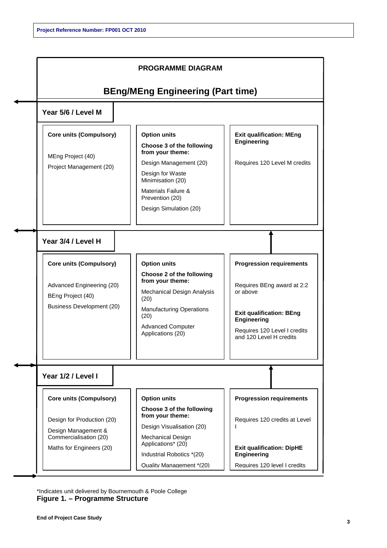

\*Indicates unit delivered by Bournemouth & Poole College **Figure 1. – Programme Structure**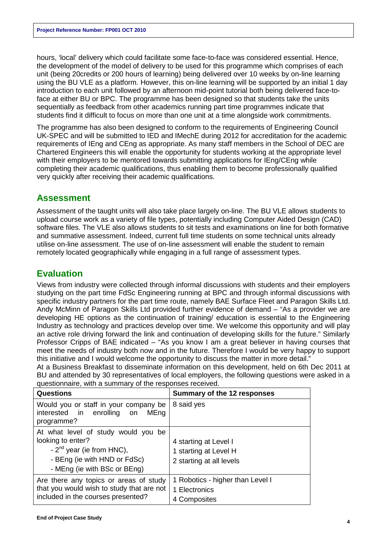hours, 'local' delivery which could facilitate some face-to-face was considered essential. Hence, the development of the model of delivery to be used for this programme which comprises of each unit (being 20credits or 200 hours of learning) being delivered over 10 weeks by on-line learning using the BU VLE as a platform. However, this on-line learning will be supported by an initial 1 day introduction to each unit followed by an afternoon mid-point tutorial both being delivered face-toface at either BU or BPC. The programme has been designed so that students take the units sequentially as feedback from other academics running part time programmes indicate that students find it difficult to focus on more than one unit at a time alongside work commitments.

The programme has also been designed to conform to the requirements of Engineering Council UK-SPEC and will be submitted to IED and IMechE during 2012 for accreditation for the academic requirements of IEng and CEng as appropriate. As many staff members in the School of DEC are Chartered Engineers this will enable the opportunity for students working at the appropriate level with their employers to be mentored towards submitting applications for  $IEng/CEng$  while completing their academic qualifications, thus enabling them to become professionally qualified very quickly after receiving their academic qualifications.

#### **Assessment**

Assessment of the taught units will also take place largely on-line. The BU VLE allows students to upload course work as a variety of file types, potentially including Computer Aided Design (CAD) software files. The VLE also allows students to sit tests and examinations on line for both formative and summative assessment. Indeed, current full time students on some technical units already utilise on-line assessment. The use of on-line assessment will enable the student to remain remotely located geographically while engaging in a full range of assessment types.

### **Evaluation**

Views from industry were collected through informal discussions with students and their employers studying on the part time FdSc Engineering running at BPC and through informal discussions with specific industry partners for the part time route, namely BAE Surface Fleet and Paragon Skills Ltd. Andy McMinn of Paragon Skills Ltd provided further evidence of demand – "As a provider we are developing HE options as the continuation of training/ education is essential to the Engineering Industry as technology and practices develop over time. We welcome this opportunity and will play an active role driving forward the link and continuation of developing skills for the future." Similarly Professor Cripps of BAE indicated – "As you know I am a great believer in having courses that meet the needs of industry both now and in the future. Therefore I would be very happy to support this initiative and I would welcome the opportunity to discuss the matter in more detail."

At a Business Breakfast to disseminate information on this development, held on 6th Dec 2011 at BU and attended by 30 representatives of local employers, the following questions were asked in a questionnaire, with a summary of the responses received.

| <b>Questions</b>                                                                                                                                        | Summary of the 12 responses                                                |
|---------------------------------------------------------------------------------------------------------------------------------------------------------|----------------------------------------------------------------------------|
| Would you or staff in your company be<br>interested in enrolling<br>MEng<br>on<br>programme?                                                            | 8 said yes                                                                 |
| At what level of study would you be<br>looking to enter?<br>- $2nd$ year (ie from HNC),<br>- BEng (ie with HND or FdSc)<br>- MEng (ie with BSc or BEng) | 4 starting at Level I<br>1 starting at Level H<br>2 starting at all levels |
| Are there any topics or areas of study<br>that you would wish to study that are not<br>included in the courses presented?                               | 1 Robotics - higher than Level I<br>1 Electronics<br>4 Composites          |